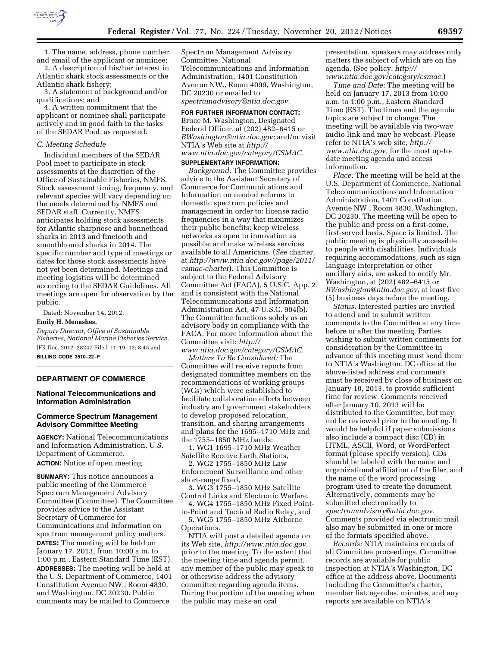

1. The name, address, phone number, and email of the applicant or nominee;

2. A description of his/her interest in Atlantic shark stock assessments or the Atlantic shark fishery;

3. A statement of background and/or qualifications; and

4. A written commitment that the applicant or nominee shall participate actively and in good faith in the tasks of the SEDAR Pool, as requested.

## *C. Meeting Schedule*

Individual members of the SEDAR Pool meet to participate in stock assessments at the discretion of the Office of Sustainable Fisheries, NMFS. Stock assessment timing, frequency, and relevant species will vary depending on the needs determined by NMFS and SEDAR staff. Currently, NMFS anticipates holding stock assessments for Atlantic sharpnose and bonnethead sharks in 2013 and finetooth and smoothhound sharks in 2014. The specific number and type of meetings or dates for those stock assessments have not yet been determined. Meetings and meeting logistics will be determined according to the SEDAR Guidelines. All meetings are open for observation by the public.

Dated: November 14, 2012.

## **Emily H. Menashes,**

*Deputy Director, Office of Sustainable Fisheries, National Marine Fisheries Service.*  [FR Doc. 2012–28247 Filed 11–19–12; 8:45 am] **BILLING CODE 3510–22–P** 

#### **DEPARTMENT OF COMMERCE**

## **National Telecommunications and Information Administration**

# **Commerce Spectrum Management Advisory Committee Meeting**

**AGENCY:** National Telecommunications and Information Administration, U.S. Department of Commerce. **ACTION:** Notice of open meeting.

**SUMMARY:** This notice announces a public meeting of the Commerce Spectrum Management Advisory Committee (Committee). The Committee provides advice to the Assistant Secretary of Commerce for Communications and Information on spectrum management policy matters. **DATES:** The meeting will be held on January 17, 2013, from 10:00 a.m. to 1:00 p.m., Eastern Standard Time (EST). **ADDRESSES:** The meeting will be held at the U.S. Department of Commerce, 1401 Constitution Avenue NW., Room 4830, and Washington, DC 20230. Public comments may be mailed to Commerce

Spectrum Management Advisory Committee, National Telecommunications and Information Administration, 1401 Constitution Avenue NW., Room 4099, Washington, DC 20230 or emailed to *[spectrumadvisory@ntia.doc.gov.](mailto:spectrumadvisory@ntia.doc.gov)* 

#### **FOR FURTHER INFORMATION CONTACT:**

Bruce M. Washington, Designated Federal Officer, at (202) 482–6415 or *[BWashington@ntia.doc.gov;](mailto:BWashington@ntia.doc.gov)* and/or visit NTIA's Web site at *[http://](http://www.ntia.doc.gov/category/CSMAC) [www.ntia.doc.gov/category/CSMAC.](http://www.ntia.doc.gov/category/CSMAC)*  **SUPPLEMENTARY INFORMATION:** 

*Background:* The Committee provides advice to the Assistant Secretary of Commerce for Communications and Information on needed reforms to domestic spectrum policies and management in order to: license radio frequencies in a way that maximizes their public benefits; keep wireless networks as open to innovation as possible; and make wireless services available to all Americans. (*See* charter, at *[http://www.ntia.doc.gov//page/2011/](http://www.ntia.doc.gov//page/2011/csmac-charter) [csmac-charter](http://www.ntia.doc.gov//page/2011/csmac-charter)*). This Committee is subject to the Federal Advisory Committee Act (FACA), 5 U.S.C. App. 2, and is consistent with the National Telecommunications and Information Administration Act, 47 U.S.C. 904(b). The Committee functions solely as an advisory body in compliance with the FACA. For more information about the Committee visit: *[http://](http://www.ntia.doc.gov/category/CSMAC)* 

*[www.ntia.doc.gov/category/CSMAC.](http://www.ntia.doc.gov/category/CSMAC) Matters To Be Considered:* The Committee will receive reports from designated committee members on the recommendations of working groups (WGs) which were established to facilitate collaboration efforts between industry and government stakeholders to develop proposed relocation, transition, and sharing arrangements and plans for the 1695–1710 MHz and the 1755–1850 MHz bands:

1. WG1 1695–1710 MHz Weather Satellite Receive Earth Stations,

2. WG2 1755–1850 MHz Law Enforcement Surveillance and other short-range fixed,

3. WG3 1755–1850 MHz Satellite Control Links and Electronic Warfare,

4. WG4 1755–1850 MHz Fixed Pointto-Point and Tactical Radio Relay, and 5. WG5 1755–1850 MHz Airborne

Operations. NTIA will post a detailed agenda on its Web site, *[http://www.ntia.doc.gov,](http://www.ntia.doc.gov)*  prior to the meeting. To the extent that the meeting time and agenda permit, any member of the public may speak to or otherwise address the advisory committee regarding agenda items. During the portion of the meeting when the public may make an oral

presentation, speakers may address only matters the subject of which are on the agenda. (See policy: *[http://](http://www.ntia.doc.gov/category/csmac) [www.ntia.doc.gov/category/csmac.](http://www.ntia.doc.gov/category/csmac)*)

*Time and Date:* The meeting will be held on January 17, 2013 from 10:00 a.m. to 1:00 p.m., Eastern Standard Time (EST). The times and the agenda topics are subject to change. The meeting will be available via two-way audio link and may be webcast. Please refer to NTIA's web site, *[http://](http://www.ntia.doc.gov) [www.ntia.doc.gov,](http://www.ntia.doc.gov)* for the most up-todate meeting agenda and access information.

*Place:* The meeting will be held at the U.S. Department of Commerce, National Telecommunications and Information Administration, 1401 Constitution Avenue NW., Room 4830, Washington, DC 20230. The meeting will be open to the public and press on a first-come, first-served basis. Space is limited. The public meeting is physically accessible to people with disabilities. Individuals requiring accommodations, such as sign language interpretation or other ancillary aids, are asked to notify Mr. Washington, at (202) 482–6415 or *[BWashington@ntia.doc.gov,](mailto:BWashington@ntia.doc.gov)* at least five (5) business days before the meeting.

*Status:* Interested parties are invited to attend and to submit written comments to the Committee at any time before or after the meeting. Parties wishing to submit written comments for consideration by the Committee in advance of this meeting must send them to NTIA's Washington, DC office at the above-listed address and comments must be received by close of business on January 10, 2013, to provide sufficient time for review. Comments received after January 10, 2013 will be distributed to the Committee, but may not be reviewed prior to the meeting. It would be helpful if paper submissions also include a compact disc (CD) in HTML, ASCII, Word, or WordPerfect format (please specify version). CDs should be labeled with the name and organizational affiliation of the filer, and the name of the word processing program used to create the document. Alternatively, comments may be submitted electronically to *[spectrumadvisory@ntia.doc.gov.](mailto:spectrumadvisory@ntia.doc.gov)*  Comments provided via electronic mail also may be submitted in one or more of the formats specified above.

*Records:* NTIA maintains records of all Committee proceedings. Committee records are available for public inspection at NTIA's Washington, DC office at the address above. Documents including the Committee's charter, member list, agendas, minutes, and any reports are available on NTIA's